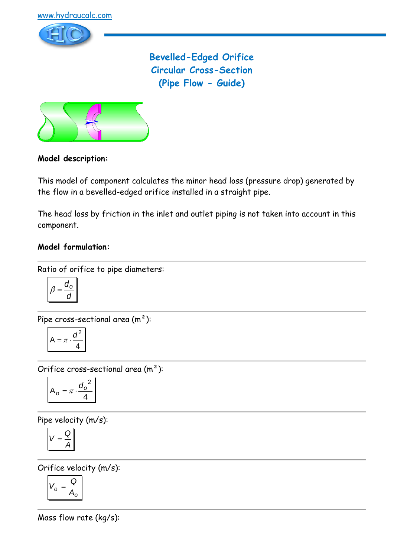

**Bevelled-Edged Orifice Circular Cross-Section (Pipe Flow - Guide)**



## **Model description:**

This model of component calculates the minor head loss (pressure drop) generated by the flow in a bevelled-edged orifice installed in a straight pipe.

The head loss by friction in the inlet and outlet piping is not taken into account in this component.

#### **Model formulation:**

Ratio of orifice to pipe diameters:

$$
\beta = \frac{d_0}{d}
$$

Pipe cross-sectional area (m²):

$$
A = \pi \cdot \frac{d^2}{4}
$$

Orifice cross-sectional area (m²):

$$
A_o = \pi \cdot \frac{{d_o}^2}{4}
$$

Pipe velocity (m/s):

$$
V=\frac{Q}{A}
$$

Orifice velocity (m/s):

$$
V_o = \frac{Q}{A_o}
$$

Mass flow rate (kg/s):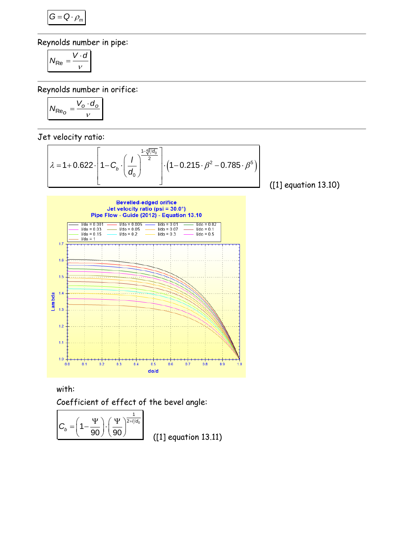$$
G=Q\cdot \rho_m
$$

Reynolds number in pipe:

$$
N_{\text{Re}} = \frac{V \cdot d}{v}
$$

Reynolds number in orifice:

$$
N_{\text{Re}_O} = \frac{V_o \cdot d_o}{v}
$$

Jet velocity ratio:

t velocity ratio:  
\n
$$
\lambda = 1 + 0.622 \cdot \left[ 1 - C_b \cdot \left( \frac{1}{d_0} \right)^{\frac{1 - 4\sqrt{1/d_0}}{2}} \right] \cdot \left( 1 - 0.215 \cdot \beta^2 - 0.785 \cdot \beta^5 \right)
$$
\n[1]

([1] equation 13.10)



with:

Coefficient of effect of the bevel angle:

$$
C_b = \left(1 - \frac{\Psi}{90}\right) \cdot \left(\frac{\Psi}{90}\right)^{\frac{1}{2+1/d_0}}
$$

([1] equation 13.11)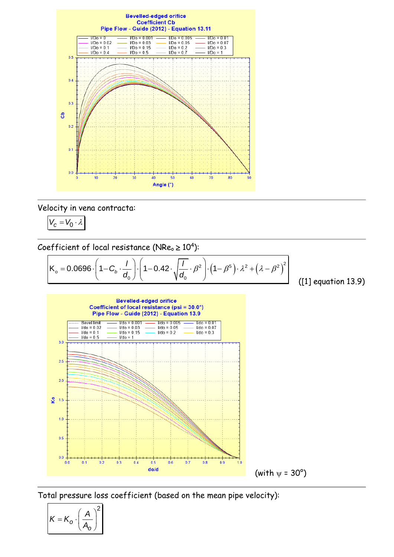

Velocity in vena contracta:

$$
V_c = V_0 \cdot \lambda
$$

Coefficient of local resistance (NRe<sub>o</sub> 
$$
\ge
$$
 10<sup>4</sup>):  
\n
$$
K_o = 0.0696 \cdot \left(1 - C_b \cdot \frac{1}{d_0}\right) \cdot \left(1 - 0.42 \cdot \sqrt{\frac{1}{d_0}} \cdot \beta^2\right) \cdot \left(1 - \beta^5\right) \cdot \lambda^2 + \left(\lambda - \beta^2\right)^2
$$
\n(11) equation 13.9)



Total pressure loss coefficient (based on the mean pipe velocity):

$$
K = K_o \cdot \left(\frac{A}{A_o}\right)^2
$$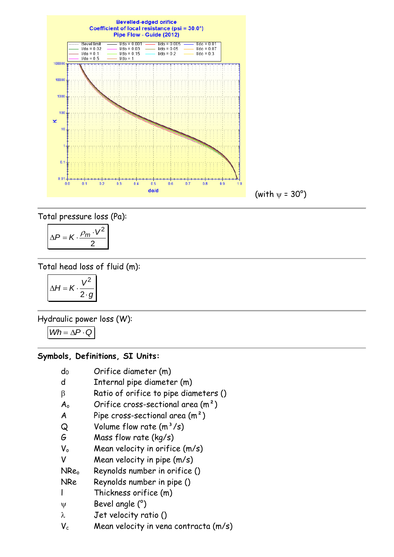

Total pressure loss (Pa):

$$
\Delta P = K \cdot \frac{\rho_m \cdot V^2}{2}
$$

# Total head loss of fluid (m):

$$
\Delta H = K \cdot \frac{V^2}{2 \cdot g}
$$

Hydraulic power loss (W):

$$
\textit{Wh} = \Delta \textit{P} \cdot \textit{Q}
$$

#### **Symbols, Definitions, SI Units:**

- d<sub>0</sub> Orifice diameter (m)
- d Internal pipe diameter (m)
- $\beta$  Ratio of orifice to pipe diameters ()
- $A_0$  Orifice cross-sectional area  $(m^2)$
- A Pipe cross-sectional area  $(m<sup>2</sup>)$
- $Q$  Volume flow rate  $(m^3/s)$
- G Mass flow rate (kg/s)
- $V_0$  Mean velocity in orifice  $(m/s)$
- V Mean velocity in pipe (m/s)
- NRe<sub>o</sub> Reynolds number in orifice ()
- NRe Reynolds number in pipe ()
- l Thickness orifice (m)
- $\Psi$  Bevel angle  $(°)$
- $\lambda$  Jet velocity ratio ()
- $V_c$  Mean velocity in vena contracta (m/s)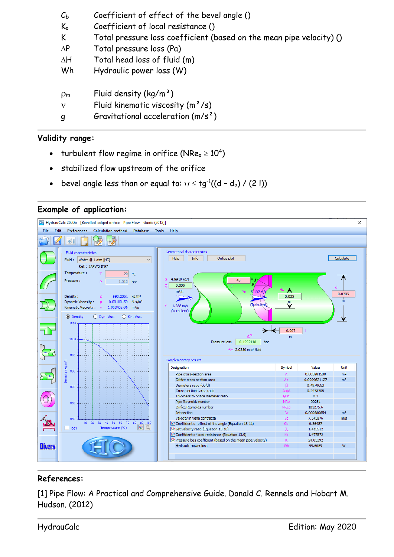| $\mathcal{C}_{\rm b}$               | Coefficient of effect of the bevel angle ()                                                                       |
|-------------------------------------|-------------------------------------------------------------------------------------------------------------------|
| $\mathsf{K}_{\mathsf{o}}$           | Coefficient of local resistance ()                                                                                |
| K                                   | Total pressure loss coefficient (based on the mean pipe velocity) ()                                              |
| $\Delta P$                          | Total pressure loss (Pa)                                                                                          |
| $\Delta H$                          | Total head loss of fluid (m)                                                                                      |
| Wh                                  | Hydraulic power loss (W)                                                                                          |
| $\rho_{\rm m}$<br>$\mathbf{v}$<br>q | Fluid density $(kg/m^3)$<br>Fluid kinematic viscosity $(m^2/s)$<br>Gravitational acceleration (m/s <sup>2</sup> ) |

## **Validity range:**

- turbulent flow regime in orifice (NRe $_{\circ}$   $\geq 10^{4})$
- stabilized flow upstream of the orifice
- bevel angle less than or equal to:  $\psi \leq {\tt tg}^{\text{-}1} (({\tt d}-{\tt d}_{{\tt o}}) \mathbin{/} (2 \, {\tt l}))$





#### **References:**

[1] Pipe Flow: A Practical and Comprehensive Guide. Donald C. Rennels and Hobart M. Hudson. (2012)